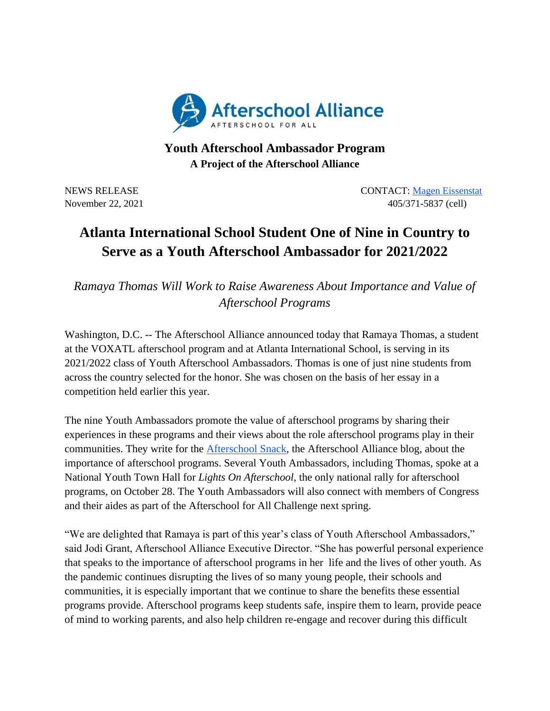

## **Youth Afterschool Ambassador Program A Project of the Afterschool Alliance**

NEWS RELEASE CONTACT: [Magen Eissenstat](mailto:magen@prsolutionsdc.com) November 22, 2021 405/371-5837 (cell)

## **Atlanta International School Student One of Nine in Country to Serve as a Youth Afterschool Ambassador for 2021/2022**

*Ramaya Thomas Will Work to Raise Awareness About Importance and Value of Afterschool Programs*

Washington, D.C. -- The Afterschool Alliance announced today that Ramaya Thomas, a student at the VOXATL afterschool program and at Atlanta International School, is serving in its 2021/2022 class of Youth Afterschool Ambassadors. Thomas is one of just nine students from across the country selected for the honor. She was chosen on the basis of her essay in a competition held earlier this year.

The nine Youth Ambassadors promote the value of afterschool programs by sharing their experiences in these programs and their views about the role afterschool programs play in their communities. They write for the [Afterschool Snack,](http://www.afterschoolalliance.org/afterschoolsnack/ASnack.cfm) the Afterschool Alliance blog, about the importance of afterschool programs. Several Youth Ambassadors, including Thomas, spoke at a National Youth Town Hall for *Lights On Afterschool*, the only national rally for afterschool programs, on October 28. The Youth Ambassadors will also connect with members of Congress and their aides as part of the Afterschool for All Challenge next spring.

"We are delighted that Ramaya is part of this year's class of Youth Afterschool Ambassadors," said Jodi Grant, Afterschool Alliance Executive Director. "She has powerful personal experience that speaks to the importance of afterschool programs in her life and the lives of other youth. As the pandemic continues disrupting the lives of so many young people, their schools and communities, it is especially important that we continue to share the benefits these essential programs provide. Afterschool programs keep students safe, inspire them to learn, provide peace of mind to working parents, and also help children re-engage and recover during this difficult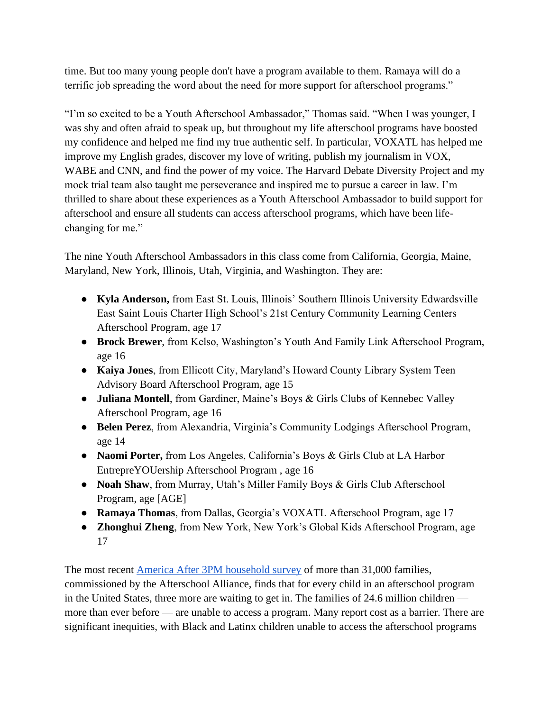time. But too many young people don't have a program available to them. Ramaya will do a terrific job spreading the word about the need for more support for afterschool programs."

"I'm so excited to be a Youth Afterschool Ambassador," Thomas said. "When I was younger, I was shy and often afraid to speak up, but throughout my life afterschool programs have boosted my confidence and helped me find my true authentic self. In particular, VOXATL has helped me improve my English grades, discover my love of writing, publish my journalism in VOX, WABE and CNN, and find the power of my voice. The Harvard Debate Diversity Project and my mock trial team also taught me perseverance and inspired me to pursue a career in law. I'm thrilled to share about these experiences as a Youth Afterschool Ambassador to build support for afterschool and ensure all students can access afterschool programs, which have been lifechanging for me."

The nine Youth Afterschool Ambassadors in this class come from California, Georgia, Maine, Maryland, New York, Illinois, Utah, Virginia, and Washington. They are:

- **Kyla Anderson,** from East St. Louis, Illinois' Southern Illinois University Edwardsville East Saint Louis Charter High School's 21st Century Community Learning Centers Afterschool Program, age 17
- **Brock Brewer**, from Kelso, Washington's Youth And Family Link Afterschool Program, age 16
- **Kaiya Jones**, from Ellicott City, Maryland's Howard County Library System Teen Advisory Board Afterschool Program, age 15
- **Juliana Montell**, from Gardiner, Maine's Boys & Girls Clubs of Kennebec Valley Afterschool Program, age 16
- **Belen Perez**, from Alexandria, Virginia's Community Lodgings Afterschool Program, age 14
- **Naomi Porter,** from Los Angeles, California's Boys & Girls Club at LA Harbor EntrepreYOUership Afterschool Program , age 16
- **Noah Shaw**, from Murray, Utah's Miller Family Boys & Girls Club Afterschool Program, age [AGE]
- **Ramaya Thomas**, from Dallas, Georgia's VOXATL Afterschool Program, age 17
- **Zhonghui Zheng**, from New York, New York's Global Kids Afterschool Program, age 17

The most recent [America After 3PM household survey](http://www.afterschoolalliance.org/AA3PM/) of more than 31,000 families, commissioned by the Afterschool Alliance, finds that for every child in an afterschool program in the United States, three more are waiting to get in. The families of 24.6 million children more than ever before — are unable to access a program. Many report cost as a barrier. There are significant inequities, with Black and Latinx children unable to access the afterschool programs